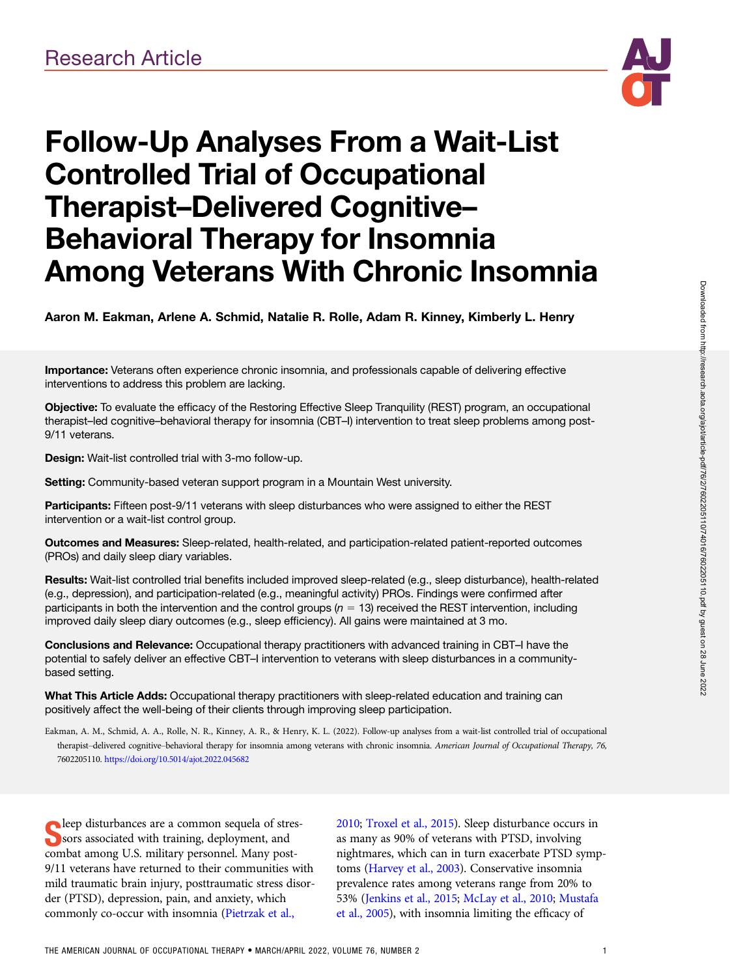

# Follow-Up Analyses From a Wait-List Controlled Trial of Occupational Therapist–Delivered Cognitive– Behavioral Therapy for Insomnia Among Veterans With Chronic Insomnia

Aaron M. Eakman, Arlene A. Schmid, Natalie R. Rolle, Adam R. Kinney, Kimberly L. Henry

Importance: Veterans often experience chronic insomnia, and professionals capable of delivering effective interventions to address this problem are lacking.

Objective: To evaluate the efficacy of the Restoring Effective Sleep Tranquility (REST) program, an occupational therapist–led cognitive–behavioral therapy for insomnia (CBT–I) intervention to treat sleep problems among post-9/11 veterans.

Design: Wait-list controlled trial with 3-mo follow-up.

Setting: Community-based veteran support program in a Mountain West university.

Participants: Fifteen post-9/11 veterans with sleep disturbances who were assigned to either the REST intervention or a wait-list control group.

Outcomes and Measures: Sleep-related, health-related, and participation-related patient-reported outcomes (PROs) and daily sleep diary variables.

Results: Wait-list controlled trial benefits included improved sleep-related (e.g., sleep disturbance), health-related (e.g., depression), and participation-related (e.g., meaningful activity) PROs. Findings were confirmed after participants in both the intervention and the control groups ( $n = 13$ ) received the REST intervention, including improved daily sleep diary outcomes (e.g., sleep efficiency). All gains were maintained at 3 mo.

Conclusions and Relevance: Occupational therapy practitioners with advanced training in CBT-I have the potential to safely deliver an effective CBT–I intervention to veterans with sleep disturbances in a communitybased setting.

What This Article Adds: Occupational therapy practitioners with sleep-related education and training can positively affect the well-being of their clients through improving sleep participation.

Eakman, A. M., Schmid, A. A., Rolle, N. R., Kinney, A. R., & Henry, K. L. (2022). Follow-up analyses from a wait-list controlled trial of occupational therapist-delivered cognitive-behavioral therapy for insomnia among veterans with chronic insomnia. American Journal of Occupational Therapy, 76, 7602205110. https://doi.org/10.5014/ajot.2022.045682

Seep disturbances are a common sequela of straining<br>Soors associated with training, deployment, and<br>sembet emerge U.S. military newsanged Mary news leep disturbances are a common sequela of strescombat among U.S. military personnel. Many post-9/11 veterans have returned to their communities with mild traumatic brain injury, posttraumatic stress disorder (PTSD), depression, pain, and anxiety, which commonly co-occur with insomnia [\(Pietrzak et al.,](#page-8-0)

[2010](#page-8-0); [Troxel et al., 2015\)](#page-8-0). Sleep disturbance occurs in as many as 90% of veterans with PTSD, involving nightmares, which can in turn exacerbate PTSD symptoms [\(Harvey et al., 2003](#page-8-0)). Conservative insomnia prevalence rates among veterans range from 20% to 53% ([Jenkins et al., 2015](#page-8-0); [McLay et al., 2010;](#page-8-0) [Mustafa](#page-8-0) [et al., 2005\)](#page-8-0), with insomnia limiting the efficacy of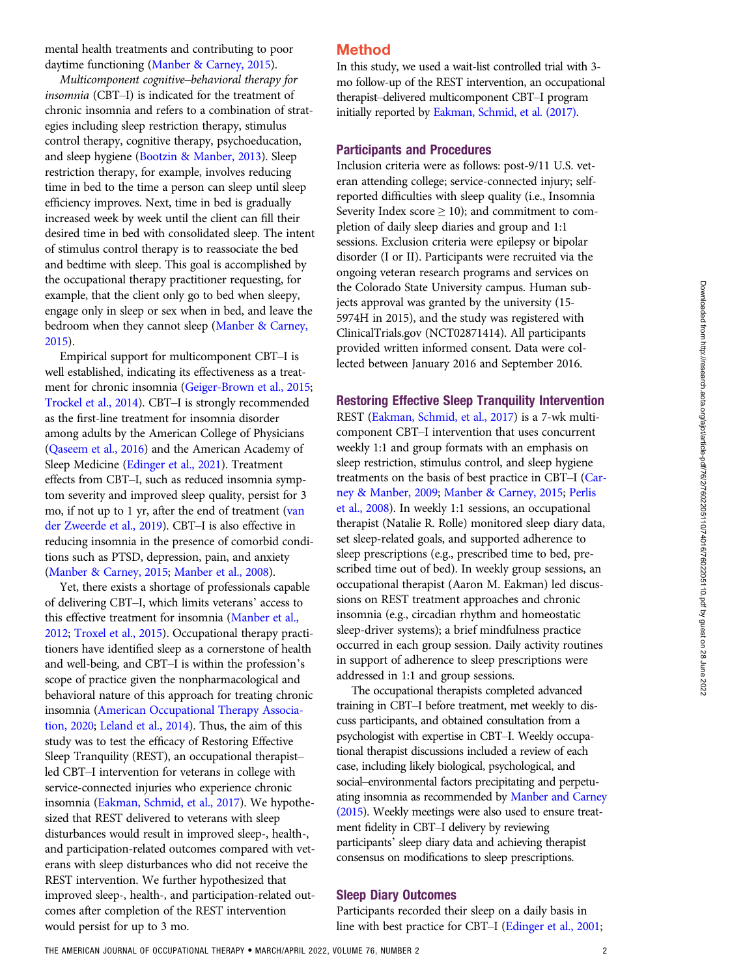mental health treatments and contributing to poor daytime functioning [\(Manber & Carney, 2015\)](#page-8-0).

Multicomponent cognitive–behavioral therapy for insomnia (CBT–I) is indicated for the treatment of chronic insomnia and refers to a combination of strategies including sleep restriction therapy, stimulus control therapy, cognitive therapy, psychoeducation, and sleep hygiene ([Bootzin & Manber, 2013](#page-7-0)). Sleep restriction therapy, for example, involves reducing time in bed to the time a person can sleep until sleep efficiency improves. Next, time in bed is gradually increased week by week until the client can fill their desired time in bed with consolidated sleep. The intent of stimulus control therapy is to reassociate the bed and bedtime with sleep. This goal is accomplished by the occupational therapy practitioner requesting, for example, that the client only go to bed when sleepy, engage only in sleep or sex when in bed, and leave the bedroom when they cannot sleep ([Manber & Carney,](#page-8-0) [2015](#page-8-0)).

Empirical support for multicomponent CBT–I is well established, indicating its effectiveness as a treatment for chronic insomnia [\(Geiger-Brown et al., 2015](#page-7-0); [Trockel et al., 2014\)](#page-8-0). CBT–I is strongly recommended as the first-line treatment for insomnia disorder among adults by the American College of Physicians [\(Qaseem et al., 2016](#page-8-0)) and the American Academy of Sleep Medicine ([Edinger et al., 2021](#page-7-0)). Treatment effects from CBT–I, such as reduced insomnia symptom severity and improved sleep quality, persist for 3 mo, if not up to 1 yr, after the end of treatment [\(van](#page-8-0) [der Zweerde et al., 2019\)](#page-8-0). CBT–I is also effective in reducing insomnia in the presence of comorbid conditions such as PTSD, depression, pain, and anxiety [\(Manber & Carney, 2015](#page-8-0); [Manber et al., 2008](#page-8-0)).

Yet, there exists a shortage of professionals capable of delivering CBT–I, which limits veterans' access to this effective treatment for insomnia [\(Manber et al.,](#page-8-0) [2012](#page-8-0); [Troxel et al., 2015\)](#page-8-0). Occupational therapy practitioners have identified sleep as a cornerstone of health and well-being, and CBT–I is within the profession's scope of practice given the nonpharmacological and behavioral nature of this approach for treating chronic insomnia [\(American Occupational Therapy Associa](#page-7-0)[tion, 2020](#page-7-0); [Leland et al., 2014](#page-8-0)). Thus, the aim of this study was to test the efficacy of Restoring Effective Sleep Tranquility (REST), an occupational therapist– led CBT–I intervention for veterans in college with service-connected injuries who experience chronic insomnia [\(Eakman, Schmid, et al., 2017](#page-7-0)). We hypothesized that REST delivered to veterans with sleep disturbances would result in improved sleep-, health-, and participation-related outcomes compared with veterans with sleep disturbances who did not receive the REST intervention. We further hypothesized that improved sleep-, health-, and participation-related outcomes after completion of the REST intervention would persist for up to 3 mo.

## Method

In this study, we used a wait-list controlled trial with 3 mo follow-up of the REST intervention, an occupational therapist–delivered multicomponent CBT–I program initially reported by [Eakman, Schmid, et al. \(2017\).](#page-7-0)

#### Participants and Procedures

Inclusion criteria were as follows: post-9/11 U.S. veteran attending college; service-connected injury; selfreported difficulties with sleep quality (i.e., Insomnia Severity Index score  $\geq 10$ ); and commitment to completion of daily sleep diaries and group and 1:1 sessions. Exclusion criteria were epilepsy or bipolar disorder (I or II). Participants were recruited via the ongoing veteran research programs and services on the Colorado State University campus. Human subjects approval was granted by the university (15- 5974H in 2015), and the study was registered with ClinicalTrials.gov (NCT02871414). All participants provided written informed consent. Data were collected between January 2016 and September 2016.

#### Restoring Effective Sleep Tranquility Intervention

REST [\(Eakman, Schmid, et al., 2017\)](#page-7-0) is a 7-wk multicomponent CBT–I intervention that uses concurrent weekly 1:1 and group formats with an emphasis on sleep restriction, stimulus control, and sleep hygiene treatments on the basis of best practice in CBT–I ([Car](#page-7-0)[ney & Manber, 2009;](#page-7-0) [Manber & Carney, 2015;](#page-8-0) [Perlis](#page-8-0) [et al., 2008\)](#page-8-0). In weekly 1:1 sessions, an occupational therapist (Natalie R. Rolle) monitored sleep diary data, set sleep-related goals, and supported adherence to sleep prescriptions (e.g., prescribed time to bed, prescribed time out of bed). In weekly group sessions, an occupational therapist (Aaron M. Eakman) led discussions on REST treatment approaches and chronic insomnia (e.g., circadian rhythm and homeostatic sleep-driver systems); a brief mindfulness practice occurred in each group session. Daily activity routines in support of adherence to sleep prescriptions were addressed in 1:1 and group sessions.

The occupational therapists completed advanced training in CBT–I before treatment, met weekly to discuss participants, and obtained consultation from a psychologist with expertise in CBT–I. Weekly occupational therapist discussions included a review of each case, including likely biological, psychological, and social–environmental factors precipitating and perpetuating insomnia as recommended by [Manber and Carney](#page-8-0) [\(2015\)](#page-8-0). Weekly meetings were also used to ensure treatment fidelity in CBT–I delivery by reviewing participants' sleep diary data and achieving therapist consensus on modifications to sleep prescriptions.

#### Sleep Diary Outcomes

Participants recorded their sleep on a daily basis in line with best practice for CBT–I [\(Edinger et al., 2001;](#page-7-0)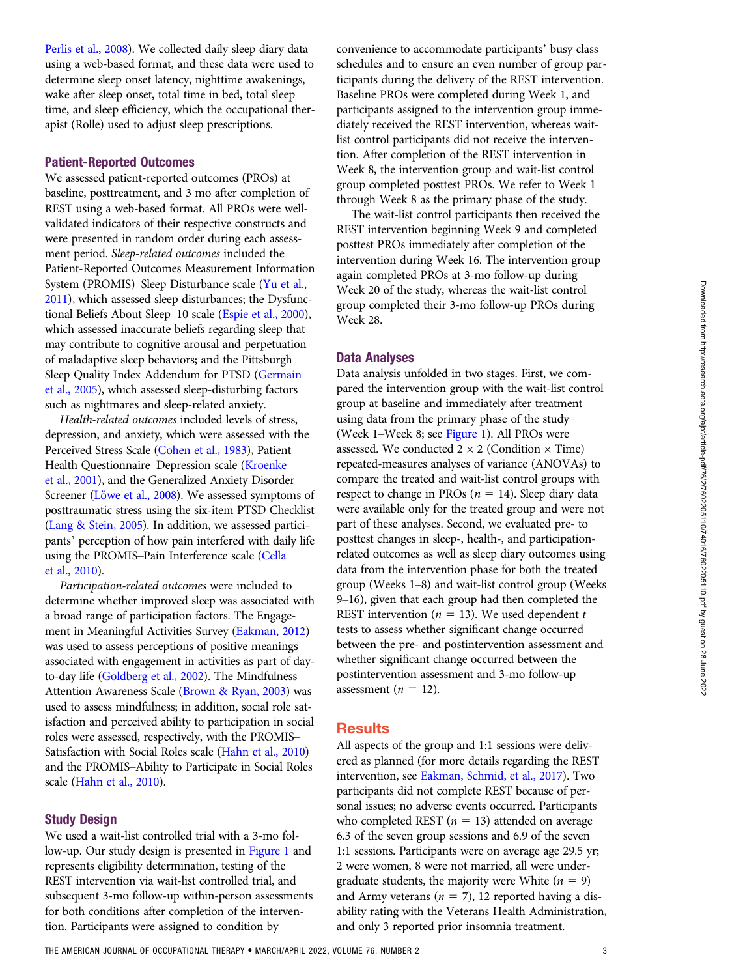[Perlis et al., 2008](#page-8-0)). We collected daily sleep diary data using a web-based format, and these data were used to determine sleep onset latency, nighttime awakenings, wake after sleep onset, total time in bed, total sleep time, and sleep efficiency, which the occupational therapist (Rolle) used to adjust sleep prescriptions.

#### Patient-Reported Outcomes

We assessed patient-reported outcomes (PROs) at baseline, posttreatment, and 3 mo after completion of REST using a web-based format. All PROs were wellvalidated indicators of their respective constructs and were presented in random order during each assessment period. Sleep-related outcomes included the Patient-Reported Outcomes Measurement Information System (PROMIS)–Sleep Disturbance scale ([Yu et al.,](#page-8-0) [2011](#page-8-0)), which assessed sleep disturbances; the Dysfunctional Beliefs About Sleep–10 scale [\(Espie et al., 2000\)](#page-7-0), which assessed inaccurate beliefs regarding sleep that may contribute to cognitive arousal and perpetuation of maladaptive sleep behaviors; and the Pittsburgh Sleep Quality Index Addendum for PTSD [\(Germain](#page-7-0) [et al., 2005](#page-7-0)), which assessed sleep-disturbing factors such as nightmares and sleep-related anxiety.

Health-related outcomes included levels of stress, depression, and anxiety, which were assessed with the Perceived Stress Scale ([Cohen et al., 1983\)](#page-7-0), Patient Health Questionnaire–Depression scale [\(Kroenke](#page-8-0) [et al., 2001](#page-8-0)), and the Generalized Anxiety Disorder Screener (Löwe et al., 2008). We assessed symptoms of posttraumatic stress using the six-item PTSD Checklist [\(Lang & Stein, 2005](#page-8-0)). In addition, we assessed participants' perception of how pain interfered with daily life using the PROMIS–Pain Interference scale ([Cella](#page-7-0) [et al., 2010](#page-7-0)).

Participation-related outcomes were included to determine whether improved sleep was associated with a broad range of participation factors. The Engagement in Meaningful Activities Survey [\(Eakman, 2012\)](#page-7-0) was used to assess perceptions of positive meanings associated with engagement in activities as part of dayto-day life ([Goldberg et al., 2002](#page-7-0)). The Mindfulness Attention Awareness Scale [\(Brown & Ryan, 2003\)](#page-7-0) was used to assess mindfulness; in addition, social role satisfaction and perceived ability to participation in social roles were assessed, respectively, with the PROMIS– Satisfaction with Social Roles scale [\(Hahn et al., 2010](#page-7-0)) and the PROMIS–Ability to Participate in Social Roles scale [\(Hahn et al., 2010\)](#page-7-0).

#### Study Design

We used a wait-list controlled trial with a 3-mo follow-up. Our study design is presented in [Figure 1](#page-3-0) and represents eligibility determination, testing of the REST intervention via wait-list controlled trial, and subsequent 3-mo follow-up within-person assessments for both conditions after completion of the intervention. Participants were assigned to condition by

convenience to accommodate participants' busy class schedules and to ensure an even number of group participants during the delivery of the REST intervention. Baseline PROs were completed during Week 1, and participants assigned to the intervention group immediately received the REST intervention, whereas waitlist control participants did not receive the intervention. After completion of the REST intervention in Week 8, the intervention group and wait-list control group completed posttest PROs. We refer to Week 1 through Week 8 as the primary phase of the study.

The wait-list control participants then received the REST intervention beginning Week 9 and completed posttest PROs immediately after completion of the intervention during Week 16. The intervention group again completed PROs at 3-mo follow-up during Week 20 of the study, whereas the wait-list control group completed their 3-mo follow-up PROs during Week 28.

#### Data Analyses

Data analysis unfolded in two stages. First, we compared the intervention group with the wait-list control group at baseline and immediately after treatment using data from the primary phase of the study (Week 1–Week 8; see [Figure 1\)](#page-3-0). All PROs were assessed. We conducted  $2 \times 2$  (Condition  $\times$  Time) repeated-measures analyses of variance (ANOVAs) to compare the treated and wait-list control groups with respect to change in PROs ( $n = 14$ ). Sleep diary data were available only for the treated group and were not part of these analyses. Second, we evaluated pre- to posttest changes in sleep-, health-, and participationrelated outcomes as well as sleep diary outcomes using data from the intervention phase for both the treated group (Weeks 1–8) and wait-list control group (Weeks 9–16), given that each group had then completed the REST intervention ( $n = 13$ ). We used dependent t tests to assess whether significant change occurred between the pre- and postintervention assessment and whether significant change occurred between the postintervention assessment and 3-mo follow-up assessment ( $n = 12$ ).

## **Results**

All aspects of the group and 1:1 sessions were delivered as planned (for more details regarding the REST intervention, see [Eakman, Schmid, et al., 2017\)](#page-7-0). Two participants did not complete REST because of personal issues; no adverse events occurred. Participants who completed REST ( $n = 13$ ) attended on average 6.3 of the seven group sessions and 6.9 of the seven 1:1 sessions. Participants were on average age 29.5 yr; 2 were women, 8 were not married, all were undergraduate students, the majority were White ( $n = 9$ ) and Army veterans ( $n = 7$ ), 12 reported having a disability rating with the Veterans Health Administration, and only 3 reported prior insomnia treatment.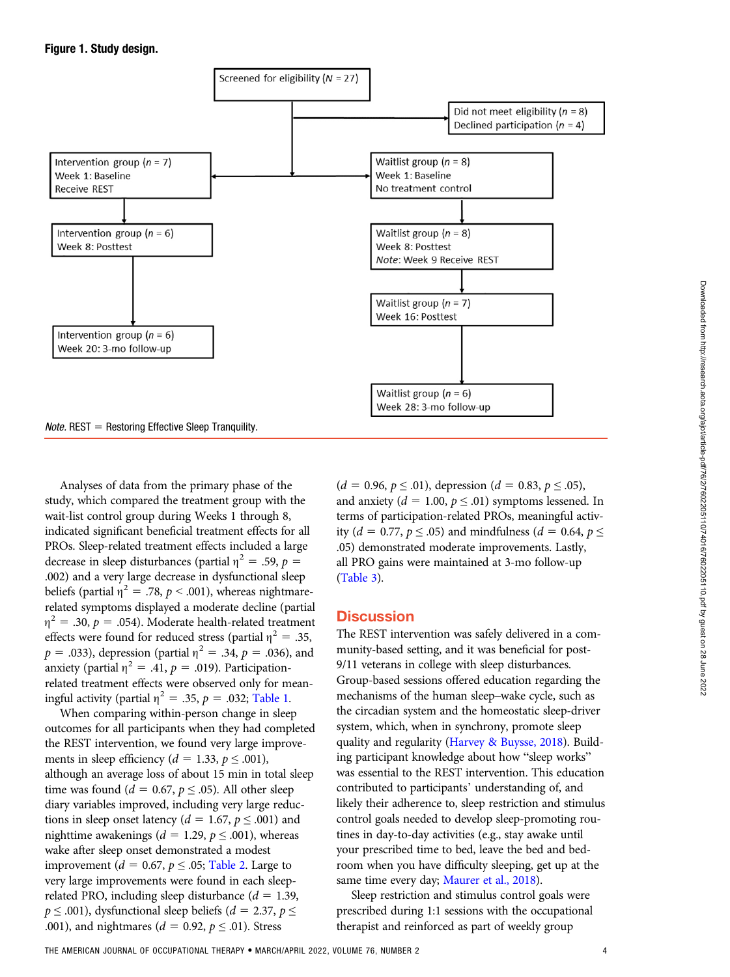<span id="page-3-0"></span>

Analyses of data from the primary phase of the study, which compared the treatment group with the wait-list control group during Weeks 1 through 8, indicated significant beneficial treatment effects for all PROs. Sleep-related treatment effects included a large decrease in sleep disturbances (partial  $\eta^2 = .59$ ,  $p =$ .002) and a very large decrease in dysfunctional sleep beliefs (partial  $\eta^2 = .78$ ,  $p < .001$ ), whereas nightmarerelated symptoms displayed a moderate decline (partial  $\eta^2 = .30, p = .054$ ). Moderate health-related treatment effects were found for reduced stress (partial  $\eta^2 = .35$ ,  $p = .033$ ), depression (partial  $\eta^2 = .34$ ,  $p = .036$ ), and anxiety (partial  $\eta^2 = .41$ ,  $p = .019$ ). Participationrelated treatment effects were observed only for meaningful activity (partial  $\eta^2 = .35$ ,  $p = .032$ ; [Table 1](#page-4-0).

When comparing within-person change in sleep outcomes for all participants when they had completed the REST intervention, we found very large improvements in sleep efficiency ( $d = 1.33$ ,  $p \le 0.001$ ), although an average loss of about 15 min in total sleep time was found ( $d = 0.67$ ,  $p \leq .05$ ). All other sleep diary variables improved, including very large reductions in sleep onset latency ( $d = 1.67$ ,  $p \le 0.001$ ) and nighttime awakenings ( $d = 1.29$ ,  $p \le 0.001$ ), whereas wake after sleep onset demonstrated a modest improvement ( $d = 0.67$ ,  $p \leq .05$ ; [Table 2](#page-4-1). Large to very large improvements were found in each sleeprelated PRO, including sleep disturbance ( $d = 1.39$ ,  $p \leq .001$ ), dysfunctional sleep beliefs ( $d = 2.37$ ,  $p \leq$ .001), and nightmares ( $d = 0.92$ ,  $p \le 0.01$ ). Stress

 $(d = 0.96, p \le 0.01)$ , depression  $(d = 0.83, p \le 0.05)$ , and anxiety ( $d = 1.00$ ,  $p \leq .01$ ) symptoms lessened. In terms of participation-related PROs, meaningful activity (*d* = 0.77, *p*  $\le$  .05) and mindfulness (*d* = 0.64, *p*  $\le$ .05) demonstrated moderate improvements. Lastly, all PRO gains were maintained at 3-mo follow-up [\(Table 3](#page-5-0)).

## **Discussion**

The REST intervention was safely delivered in a community-based setting, and it was beneficial for post-9/11 veterans in college with sleep disturbances. Group-based sessions offered education regarding the mechanisms of the human sleep–wake cycle, such as the circadian system and the homeostatic sleep-driver system, which, when in synchrony, promote sleep quality and regularity [\(Harvey & Buysse, 2018\)](#page-7-0). Building participant knowledge about how "sleep works" was essential to the REST intervention. This education contributed to participants' understanding of, and likely their adherence to, sleep restriction and stimulus control goals needed to develop sleep-promoting routines in day-to-day activities (e.g., stay awake until your prescribed time to bed, leave the bed and bedroom when you have difficulty sleeping, get up at the same time every day; [Maurer et al., 2018](#page-8-0)).

Sleep restriction and stimulus control goals were prescribed during 1:1 sessions with the occupational therapist and reinforced as part of weekly group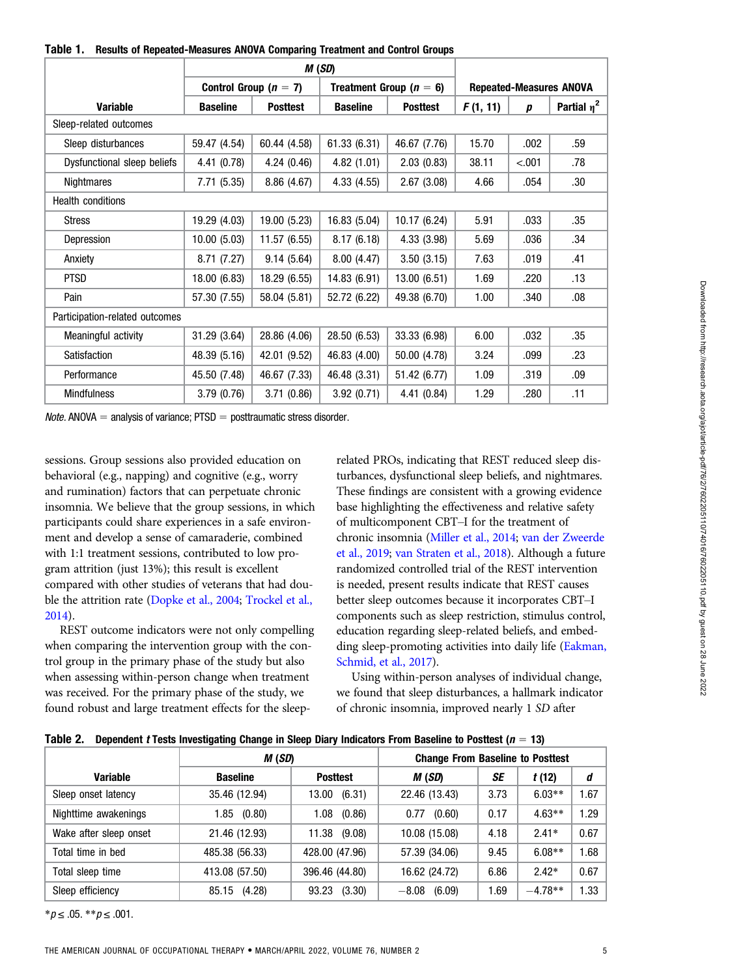<span id="page-4-0"></span>

|  | Table 1. Results of Repeated-Measures ANOVA Comparing Treatment and Control Groups |  |  |  |
|--|------------------------------------------------------------------------------------|--|--|--|
|--|------------------------------------------------------------------------------------|--|--|--|

|                                |                 |                         | M (SD)          |                             |          |                  |                                |
|--------------------------------|-----------------|-------------------------|-----------------|-----------------------------|----------|------------------|--------------------------------|
|                                |                 | Control Group $(n = 7)$ |                 | Treatment Group ( $n = 6$ ) |          |                  | <b>Repeated-Measures ANOVA</b> |
| <b>Variable</b>                | <b>Baseline</b> | <b>Posttest</b>         | <b>Baseline</b> | <b>Posttest</b>             | F(1, 11) | $\boldsymbol{p}$ | Partial $\eta^2$               |
| Sleep-related outcomes         |                 |                         |                 |                             |          |                  |                                |
| Sleep disturbances             | 59.47 (4.54)    | 60.44 (4.58)            | 61.33 (6.31)    | 46.67 (7.76)                | 15.70    | .002             | .59                            |
| Dysfunctional sleep beliefs    | 4.41(0.78)      | 4.24(0.46)              | 4.82(1.01)      | 2.03(0.83)                  | 38.11    | < .001           | .78                            |
| Nightmares                     | 7.71 (5.35)     | 8.86(4.67)              | 4.33(4.55)      | 2.67(3.08)                  | 4.66     | .054             | .30                            |
| <b>Health conditions</b>       |                 |                         |                 |                             |          |                  |                                |
| <b>Stress</b>                  | 19.29 (4.03)    | 19.00 (5.23)            | 16.83 (5.04)    | 10.17(6.24)                 | 5.91     | .033             | .35                            |
| Depression                     | 10.00(5.03)     | 11.57(6.55)             | 8.17(6.18)      | 4.33 (3.98)                 | 5.69     | .036             | .34                            |
| Anxiety                        | 8.71(7.27)      | 9.14(5.64)              | 8.00(4.47)      | 3.50(3.15)                  | 7.63     | .019             | .41                            |
| <b>PTSD</b>                    | 18.00 (6.83)    | 18.29 (6.55)            | 14.83 (6.91)    | 13.00(6.51)                 | 1.69     | .220             | .13                            |
| Pain                           | 57.30 (7.55)    | 58.04 (5.81)            | 52.72 (6.22)    | 49.38 (6.70)                | 1.00     | .340             | .08                            |
| Participation-related outcomes |                 |                         |                 |                             |          |                  |                                |
| Meaningful activity            | 31.29 (3.64)    | 28.86 (4.06)            | 28.50 (6.53)    | 33.33 (6.98)                | 6.00     | .032             | .35                            |
| Satisfaction                   | 48.39 (5.16)    | 42.01 (9.52)            | 46.83 (4.00)    | 50.00 (4.78)                | 3.24     | .099             | .23                            |
| Performance                    | 45.50 (7.48)    | 46.67 (7.33)            | 46.48 (3.31)    | 51.42 (6.77)                | 1.09     | .319             | .09                            |
| <b>Mindfulness</b>             | 3.79(0.76)      | 3.71(0.86)              | 3.92(0.71)      | 4.41(0.84)                  | 1.29     | .280             | .11                            |

*Note.* ANOVA  $=$  analysis of variance; PTSD  $=$  posttraumatic stress disorder.

sessions. Group sessions also provided education on behavioral (e.g., napping) and cognitive (e.g., worry and rumination) factors that can perpetuate chronic insomnia. We believe that the group sessions, in which participants could share experiences in a safe environment and develop a sense of camaraderie, combined with 1:1 treatment sessions, contributed to low program attrition (just 13%); this result is excellent compared with other studies of veterans that had double the attrition rate ([Dopke et al., 2004;](#page-7-0) [Trockel et al.,](#page-8-0) [2014](#page-8-0)).

REST outcome indicators were not only compelling when comparing the intervention group with the control group in the primary phase of the study but also when assessing within-person change when treatment was received. For the primary phase of the study, we found robust and large treatment effects for the sleeprelated PROs, indicating that REST reduced sleep disturbances, dysfunctional sleep beliefs, and nightmares. These findings are consistent with a growing evidence base highlighting the effectiveness and relative safety of multicomponent CBT–I for the treatment of chronic insomnia ([Miller et al., 2014](#page-8-0); [van der Zweerde](#page-8-0) [et al., 2019;](#page-8-0) [van Straten et al., 2018](#page-8-0)). Although a future randomized controlled trial of the REST intervention is needed, present results indicate that REST causes better sleep outcomes because it incorporates CBT–I components such as sleep restriction, stimulus control, education regarding sleep-related beliefs, and embedding sleep-promoting activities into daily life ([Eakman,](#page-7-0) [Schmid, et al., 2017](#page-7-0)).

Using within-person analyses of individual change, we found that sleep disturbances, a hallmark indicator of chronic insomnia, improved nearly 1 SD after

<span id="page-4-1"></span>

|  | Table 2. Dependent t Tests Investigating Change in Sleep Diary Indicators From Baseline to Posttest ( $n = 13$ ) |  |
|--|------------------------------------------------------------------------------------------------------------------|--|
|--|------------------------------------------------------------------------------------------------------------------|--|

|                        | M (SD)          |                 | <b>Change From Baseline to Posttest</b> |      |           |      |
|------------------------|-----------------|-----------------|-----------------------------------------|------|-----------|------|
| <b>Variable</b>        | <b>Baseline</b> | <b>Posttest</b> | M (SD)                                  | SE   | t(12)     | d    |
| Sleep onset latency    | 35.46 (12.94)   | (6.31)<br>13.00 | 22.46 (13.43)                           | 3.73 | $6.03**$  | . 67 |
| Nighttime awakenings   | (0.80)<br>1.85  | (0.86)<br>1.08  | (0.60)<br>0.77                          | 0.17 | $4.63**$  | 29،  |
| Wake after sleep onset | 21.46 (12.93)   | 11.38 (9.08)    | 10.08 (15.08)                           | 4.18 | $2.41*$   | 0.67 |
| Total time in bed      | 485.38 (56.33)  | 428.00 (47.96)  | 57.39 (34.06)                           | 9.45 | $6.08**$  | 1.68 |
| Total sleep time       | 413.08 (57.50)  | 396.46 (44.80)  | 16.62 (24.72)                           | 6.86 | $2.42*$   | 0.67 |
| Sleep efficiency       | (4.28)<br>85.15 | (3.30)<br>93.23 | (6.09)<br>$-8.08$                       | 1.69 | $-4.78**$ | .33  |

 $**p* ≤ .05. ***p* ≤ .001.$ 

Downloaded from http://research.aota.org/ajot/article-pdf/76/2/7602205110/74016/7602205110.pdf by guest on 28 June 2022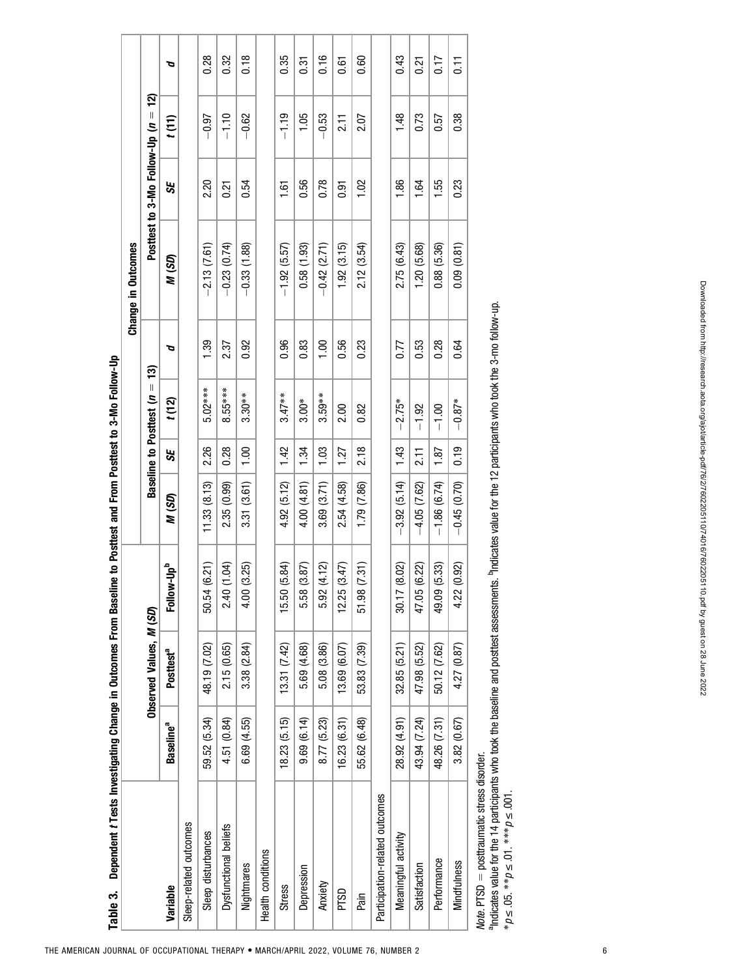<span id="page-5-0"></span>

| Dependent t Tests Investigating Change in Outcomes From Basel<br>Table 3. |                       |                         |                        | ine to Posttest and From Posttest to 3-Mo Follow-Up |                   |                             |      | Change in Outcomes |                                   |           |                  |
|---------------------------------------------------------------------------|-----------------------|-------------------------|------------------------|-----------------------------------------------------|-------------------|-----------------------------|------|--------------------|-----------------------------------|-----------|------------------|
|                                                                           |                       | Observed Values, M (SD) |                        |                                                     |                   | Baseline to Posttest $(n =$ | 13)  |                    | Posttest to 3-Mo Follow-Up $(n =$ | <u>์จ</u> |                  |
| Variable                                                                  | Baseline <sup>a</sup> | Posttest <sup>a</sup>   | Follow-Up <sup>b</sup> | N (SD)                                              | 55                | t(12)                       | ত    | M (SD)             | 55                                | t(11)     | ত                |
| Sleep-related outcomes                                                    |                       |                         |                        |                                                     |                   |                             |      |                    |                                   |           |                  |
| Sleep disturbances                                                        | 59.52 (5.34)          | 48.19 (7.02)            | (6.21)<br>50.54        | 11.33(8.13)                                         | 2.26              | $5.02***$                   | 1.39 | $-2.13(7.61)$      | 2.20                              | $-0.97$   | 0.28             |
| Dysfunctional beliefs                                                     | 4.51 (0.84)           | 2.15 (0.65)             | (1.04)<br>2.40         | 2.35 (0.99)                                         | 0.28              | $8.55***$                   | 2.37 | $-0.23(0.74)$      | 0.21                              | $-1.10$   | 0.32             |
| Nightmares                                                                | 6.69 (4.55)           | 3.38 (2.84)             | (3.25)<br>4.00         | 3.31 (3.61)                                         | 1,00              | $3.30**$                    | 0.92 | $-0.33(1.88)$      | 0.54                              | $-0.62$   | 0.18             |
| Health conditions                                                         |                       |                         |                        |                                                     |                   |                             |      |                    |                                   |           |                  |
| <b>Stress</b>                                                             | 18.23 (5.15)          | $(7.31)$ $(7.42)$       | (5.84)<br>15.50        | 4.92 (5.12)                                         | 142               | $3.47**$                    | 0.96 | $-1.92(5.57)$      | 1.61                              | $-1.19$   | 0.35             |
| Depression                                                                | 9.69(6.14)            | 5.69 (4.68)             | (3.87)<br>5.58         | 4.00 (4.81)                                         | 1.34              | $3.00*$                     | 0.83 | 0.58(1.93)         | 0.56                              | 1.05      | 0.31             |
| Anxiety                                                                   | 8.77 (5.23)           | 5.08 (3.86)             | (4.12)<br>5.92         | 3.69 (3.71)                                         | 1.03              | $3.59**$                    | 1.00 | $-0.42$ (2.71)     | 0.78                              | $-0.53$   | 0.16             |
| PTSD                                                                      | 16.23 (6.31)          | 13.69 (6.07)            | (3.47)<br>12.25        | 2.54 (4.58)                                         | 1.27              | 2.00                        | 0.56 | 1.92(3.15)         | <b>b.5</b>                        | 211       | 0.61             |
| Pain                                                                      | 55.62 (6.48)          | 53.83 (7.39)            | (7.31)<br>51.98        | 1.79 (7.86)                                         | 218               | 0.82                        | 0.23 | 2.12(3.54)         | 1.02                              | 2.07      | 0.60             |
| Participation-related outcomes                                            |                       |                         |                        |                                                     |                   |                             |      |                    |                                   |           |                  |
| Meaningful activity                                                       | 28.92 (4.91)          | 32.85 (5.21)            | (8.02)<br>30.17        | $-3.92(5.14)$                                       | 1.43              | $-2.75*$                    | 0.77 | 2.75 (6.43)        | 1.86                              | 1.48      | 0.43             |
| Satisfaction                                                              | 43.94 (7.24)          | 47.98 (5.52)            | (6.22)<br>47.05        | $-4.05(7.62)$                                       | $\overline{2.11}$ | $-1.92$                     | 0.53 | 1.20(5.68)         | 1.64                              | 0.73      | 0.21             |
| Performance                                                               | 48.26 (7.31)          | 50.12 (7.62)            | (5.33)<br>49.09        | $-1.86(6.74)$                                       | 1.87              | $-1.00$                     | 0.28 | 0.88 (5.36)        | 1.55                              | 0.57      | 0.17             |
| <b>Mindfulness</b>                                                        | 3.82(0.67)            | 4.27 (0.87)             | (0.92)<br>4.22         | $-0.45(0.70)$                                       | 0.19              | $-0.87*$                    | 0.64 | 0.09(0.81)         | 0.23                              | 0.38      | $\overline{0}$ . |
| Note. PTSD = posttraumatic stress disorder.                               |                       |                         |                        |                                                     |                   |                             |      |                    |                                   |           |                  |

aIndicates value for the 14 participants who took the baseline and posttest assessments. bIndicates value for the 12 participants who took the 3-mo follow-up. \*p≤.05. \*\*p≤.01. \*\*\*p≤.001.

THE AMERICAN JOURNAL OF OCCUPATIONAL THERAPY . MARCH/APRIL 2022, VOLUME 76, NUMBER 2 6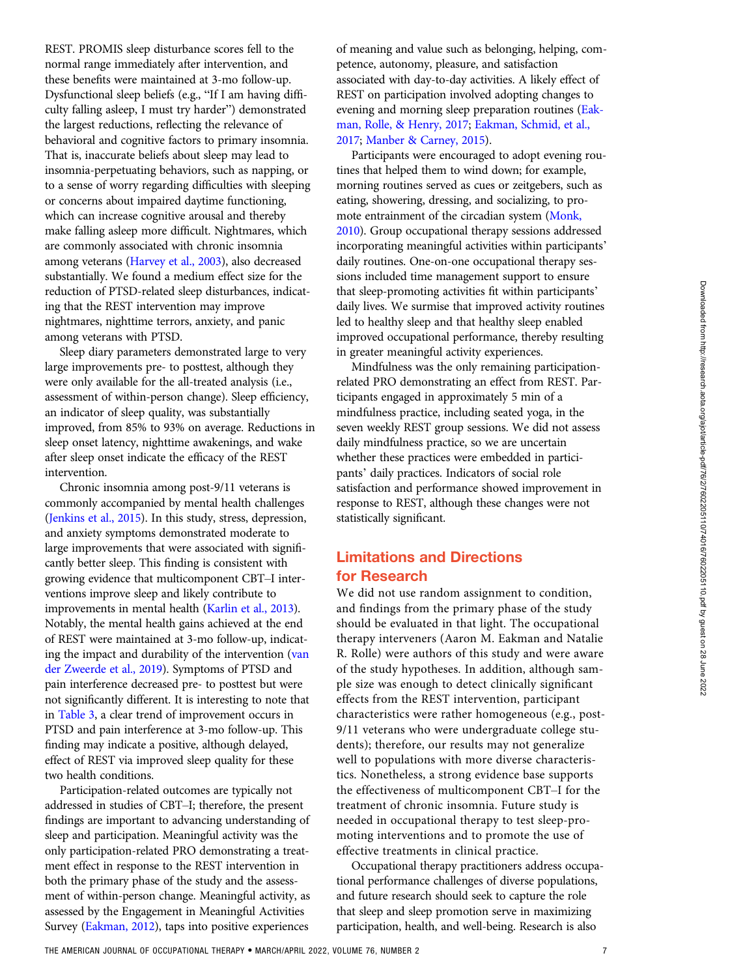REST. PROMIS sleep disturbance scores fell to the normal range immediately after intervention, and these benefits were maintained at 3-mo follow-up. Dysfunctional sleep beliefs (e.g., "If I am having difficulty falling asleep, I must try harder") demonstrated the largest reductions, reflecting the relevance of behavioral and cognitive factors to primary insomnia. That is, inaccurate beliefs about sleep may lead to insomnia-perpetuating behaviors, such as napping, or to a sense of worry regarding difficulties with sleeping or concerns about impaired daytime functioning, which can increase cognitive arousal and thereby make falling asleep more difficult. Nightmares, which are commonly associated with chronic insomnia among veterans [\(Harvey et al., 2003](#page-8-0)), also decreased substantially. We found a medium effect size for the reduction of PTSD-related sleep disturbances, indicating that the REST intervention may improve nightmares, nighttime terrors, anxiety, and panic among veterans with PTSD.

Sleep diary parameters demonstrated large to very large improvements pre- to posttest, although they were only available for the all-treated analysis (i.e., assessment of within-person change). Sleep efficiency, an indicator of sleep quality, was substantially improved, from 85% to 93% on average. Reductions in sleep onset latency, nighttime awakenings, and wake after sleep onset indicate the efficacy of the REST intervention.

Chronic insomnia among post-9/11 veterans is commonly accompanied by mental health challenges [\(Jenkins et al., 2015\)](#page-8-0). In this study, stress, depression, and anxiety symptoms demonstrated moderate to large improvements that were associated with significantly better sleep. This finding is consistent with growing evidence that multicomponent CBT–I interventions improve sleep and likely contribute to improvements in mental health ([Karlin et al., 2013](#page-8-0)). Notably, the mental health gains achieved at the end of REST were maintained at 3-mo follow-up, indicating the impact and durability of the intervention ([van](#page-8-0) [der Zweerde et al., 2019\)](#page-8-0). Symptoms of PTSD and pain interference decreased pre- to posttest but were not significantly different. It is interesting to note that in [Table 3,](#page-5-0) a clear trend of improvement occurs in PTSD and pain interference at 3-mo follow-up. This finding may indicate a positive, although delayed, effect of REST via improved sleep quality for these two health conditions.

Participation-related outcomes are typically not addressed in studies of CBT–I; therefore, the present findings are important to advancing understanding of sleep and participation. Meaningful activity was the only participation-related PRO demonstrating a treatment effect in response to the REST intervention in both the primary phase of the study and the assessment of within-person change. Meaningful activity, as assessed by the Engagement in Meaningful Activities Survey [\(Eakman, 2012\)](#page-7-0), taps into positive experiences

of meaning and value such as belonging, helping, competence, autonomy, pleasure, and satisfaction associated with day-to-day activities. A likely effect of REST on participation involved adopting changes to evening and morning sleep preparation routines ([Eak](#page-7-0)[man, Rolle, & Henry, 2017](#page-7-0); [Eakman, Schmid, et al.,](#page-7-0) [2017](#page-7-0); [Manber & Carney, 2015](#page-8-0)).

Participants were encouraged to adopt evening routines that helped them to wind down; for example, morning routines served as cues or zeitgebers, such as eating, showering, dressing, and socializing, to promote entrainment of the circadian system [\(Monk,](#page-8-0) [2010](#page-8-0)). Group occupational therapy sessions addressed incorporating meaningful activities within participants' daily routines. One-on-one occupational therapy sessions included time management support to ensure that sleep-promoting activities fit within participants' daily lives. We surmise that improved activity routines led to healthy sleep and that healthy sleep enabled improved occupational performance, thereby resulting in greater meaningful activity experiences.

Mindfulness was the only remaining participationrelated PRO demonstrating an effect from REST. Participants engaged in approximately 5 min of a mindfulness practice, including seated yoga, in the seven weekly REST group sessions. We did not assess daily mindfulness practice, so we are uncertain whether these practices were embedded in participants' daily practices. Indicators of social role satisfaction and performance showed improvement in response to REST, although these changes were not statistically significant.

## Limitations and Directions for Research

We did not use random assignment to condition, and findings from the primary phase of the study should be evaluated in that light. The occupational therapy interveners (Aaron M. Eakman and Natalie R. Rolle) were authors of this study and were aware of the study hypotheses. In addition, although sample size was enough to detect clinically significant effects from the REST intervention, participant characteristics were rather homogeneous (e.g., post-9/11 veterans who were undergraduate college students); therefore, our results may not generalize well to populations with more diverse characteristics. Nonetheless, a strong evidence base supports the effectiveness of multicomponent CBT–I for the treatment of chronic insomnia. Future study is needed in occupational therapy to test sleep-promoting interventions and to promote the use of effective treatments in clinical practice.

Occupational therapy practitioners address occupational performance challenges of diverse populations, and future research should seek to capture the role that sleep and sleep promotion serve in maximizing participation, health, and well-being. Research is also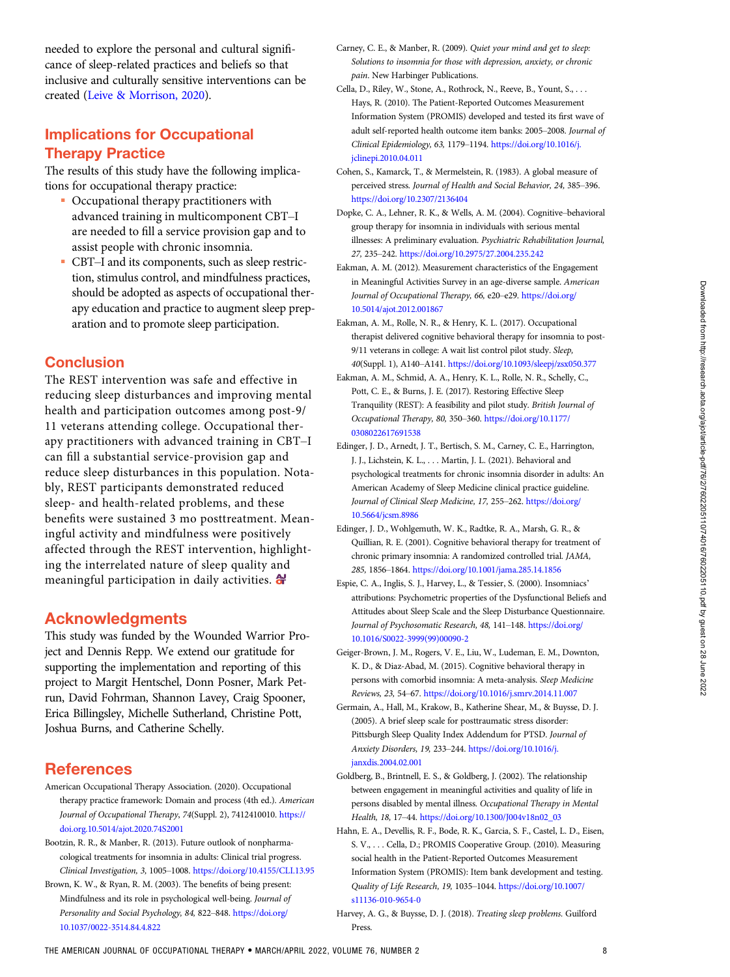<span id="page-7-0"></span>needed to explore the personal and cultural significance of sleep-related practices and beliefs so that inclusive and culturally sensitive interventions can be created [\(Leive & Morrison, 2020\)](#page-8-0).

# Implications for Occupational Therapy Practice

The results of this study have the following implications for occupational therapy practice:

- Occupational therapy practitioners with advanced training in multicomponent CBT–I are needed to fill a service provision gap and to assist people with chronic insomnia.
- CBT–I and its components, such as sleep restriction, stimulus control, and mindfulness practices, should be adopted as aspects of occupational therapy education and practice to augment sleep preparation and to promote sleep participation.

## **Conclusion**

The REST intervention was safe and effective in reducing sleep disturbances and improving mental health and participation outcomes among post-9/ 11 veterans attending college. Occupational therapy practitioners with advanced training in CBT–I can fill a substantial service-provision gap and reduce sleep disturbances in this population. Notably, REST participants demonstrated reduced sleep- and health-related problems, and these benefits were sustained 3 mo posttreatment. Meaningful activity and mindfulness were positively affected through the REST intervention, highlighting the interrelated nature of sleep quality and meaningful participation in daily activities.  $\bigoplus$ 

## Acknowledgments

This study was funded by the Wounded Warrior Project and Dennis Repp. We extend our gratitude for supporting the implementation and reporting of this project to Margit Hentschel, Donn Posner, Mark Petrun, David Fohrman, Shannon Lavey, Craig Spooner, Erica Billingsley, Michelle Sutherland, Christine Pott, Joshua Burns, and Catherine Schelly.

## **References**

- American Occupational Therapy Association. (2020). Occupational therapy practice framework: Domain and process (4th ed.). American Journal of Occupational Therapy, 74(Suppl. 2), 7412410010. [https://](https://doi.org.10.5014/ajot.2020.74S2001) [doi.org.10.5014/ajot.2020.74S2001](https://doi.org.10.5014/ajot.2020.74S2001)
- Bootzin, R. R., & Manber, R. (2013). Future outlook of nonpharmacological treatments for insomnia in adults: Clinical trial progress. Clinical Investigation, 3, 1005–1008. <https://doi.org/10.4155/CLI.13.95>
- Brown, K. W., & Ryan, R. M. (2003). The benefits of being present: Mindfulness and its role in psychological well-being. Journal of Personality and Social Psychology, 84, 822–848. [https://doi.org/](https://doi.org/10.1037/0022-3514.84.4.822) [10.1037/0022-3514.84.4.822](https://doi.org/10.1037/0022-3514.84.4.822)
- Carney, C. E., & Manber, R. (2009). Quiet your mind and get to sleep: Solutions to insomnia for those with depression, anxiety, or chronic pain. New Harbinger Publications.
- Cella, D., Riley, W., Stone, A., Rothrock, N., Reeve, B., Yount, S., . . . Hays, R. (2010). The Patient-Reported Outcomes Measurement Information System (PROMIS) developed and tested its first wave of adult self-reported health outcome item banks: 2005–2008. Journal of Clinical Epidemiology, 63, 1179–1194. [https://doi.org/10.1016/j.](https://doi.org/10.1016/j.jclinepi.2010.04.011) [jclinepi.2010.04.011](https://doi.org/10.1016/j.jclinepi.2010.04.011)
- Cohen, S., Kamarck, T., & Mermelstein, R. (1983). A global measure of perceived stress. Journal of Health and Social Behavior, 24, 385–396. <https://doi.org/10.2307/2136404>
- Dopke, C. A., Lehner, R. K., & Wells, A. M. (2004). Cognitive–behavioral group therapy for insomnia in individuals with serious mental illnesses: A preliminary evaluation. Psychiatric Rehabilitation Journal, 27, 235–242. <https://doi.org/10.2975/27.2004.235.242>
- Eakman, A. M. (2012). Measurement characteristics of the Engagement in Meaningful Activities Survey in an age-diverse sample. American Journal of Occupational Therapy, 66, e20–e29. [https://doi.org/](https://doi.org/10.5014/ajot.2012.001867) [10.5014/ajot.2012.001867](https://doi.org/10.5014/ajot.2012.001867)
- Eakman, A. M., Rolle, N. R., & Henry, K. L. (2017). Occupational therapist delivered cognitive behavioral therapy for insomnia to post-9/11 veterans in college: A wait list control pilot study. Sleep, 40(Suppl. 1), A140–A141. <https://doi.org/10.1093/sleepj/zsx050.377>
- Eakman, A. M., Schmid, A. A., Henry, K. L., Rolle, N. R., Schelly, C., Pott, C. E., & Burns, J. E. (2017). Restoring Effective Sleep Tranquility (REST): A feasibility and pilot study. British Journal of Occupational Therapy, 80, 350–360. [https://doi.org/10.1177/](https://doi.org/10.1177/0308022617691538) [0308022617691538](https://doi.org/10.1177/0308022617691538)
- Edinger, J. D., Arnedt, J. T., Bertisch, S. M., Carney, C. E., Harrington, J. J., Lichstein, K. L., . . . Martin, J. L. (2021). Behavioral and psychological treatments for chronic insomnia disorder in adults: An American Academy of Sleep Medicine clinical practice guideline. Journal of Clinical Sleep Medicine, 17, 255–262. [https://doi.org/](https://doi.org/10.5664/jcsm.8986) [10.5664/jcsm.8986](https://doi.org/10.5664/jcsm.8986)
- Edinger, J. D., Wohlgemuth, W. K., Radtke, R. A., Marsh, G. R., & Quillian, R. E. (2001). Cognitive behavioral therapy for treatment of chronic primary insomnia: A randomized controlled trial. JAMA, 285, 1856–1864. <https://doi.org/10.1001/jama.285.14.1856>
- Espie, C. A., Inglis, S. J., Harvey, L., & Tessier, S. (2000). Insomniacs' attributions: Psychometric properties of the Dysfunctional Beliefs and Attitudes about Sleep Scale and the Sleep Disturbance Questionnaire. Journal of Psychosomatic Research, 48, 141-148. [https://doi.org/](https://doi.org/10.1016/S0022-3999(99)00090-2) [10.1016/S0022-3999\(99\)00090-2](https://doi.org/10.1016/S0022-3999(99)00090-2)
- Geiger-Brown, J. M., Rogers, V. E., Liu, W., Ludeman, E. M., Downton, K. D., & Diaz-Abad, M. (2015). Cognitive behavioral therapy in persons with comorbid insomnia: A meta-analysis. Sleep Medicine Reviews, 23, 54–67. <https://doi.org/10.1016/j.smrv.2014.11.007>
- Germain, A., Hall, M., Krakow, B., Katherine Shear, M., & Buysse, D. J. (2005). A brief sleep scale for posttraumatic stress disorder: Pittsburgh Sleep Quality Index Addendum for PTSD. Journal of Anxiety Disorders, 19, 233–244. [https://doi.org/10.1016/j.](https://doi.org/10.1016/j.janxdis.2004.02.001) [janxdis.2004.02.001](https://doi.org/10.1016/j.janxdis.2004.02.001)
- Goldberg, B., Brintnell, E. S., & Goldberg, J. (2002). The relationship between engagement in meaningful activities and quality of life in persons disabled by mental illness. Occupational Therapy in Mental Health, 18, 17–44. [https://doi.org/10.1300/J004v18n02\\_03](https://doi.org/10.1300/J004v18n02_03)
- Hahn, E. A., Devellis, R. F., Bode, R. K., Garcia, S. F., Castel, L. D., Eisen, S. V., . . . Cella, D.; PROMIS Cooperative Group. (2010). Measuring social health in the Patient-Reported Outcomes Measurement Information System (PROMIS): Item bank development and testing. Quality of Life Research, 19, 1035–1044. [https://doi.org/10.1007/](https://doi.org/10.1007/s11136-010-9654-0) [s11136-010-9654-0](https://doi.org/10.1007/s11136-010-9654-0)
- Harvey, A. G., & Buysse, D. J. (2018). Treating sleep problems. Guilford Press.